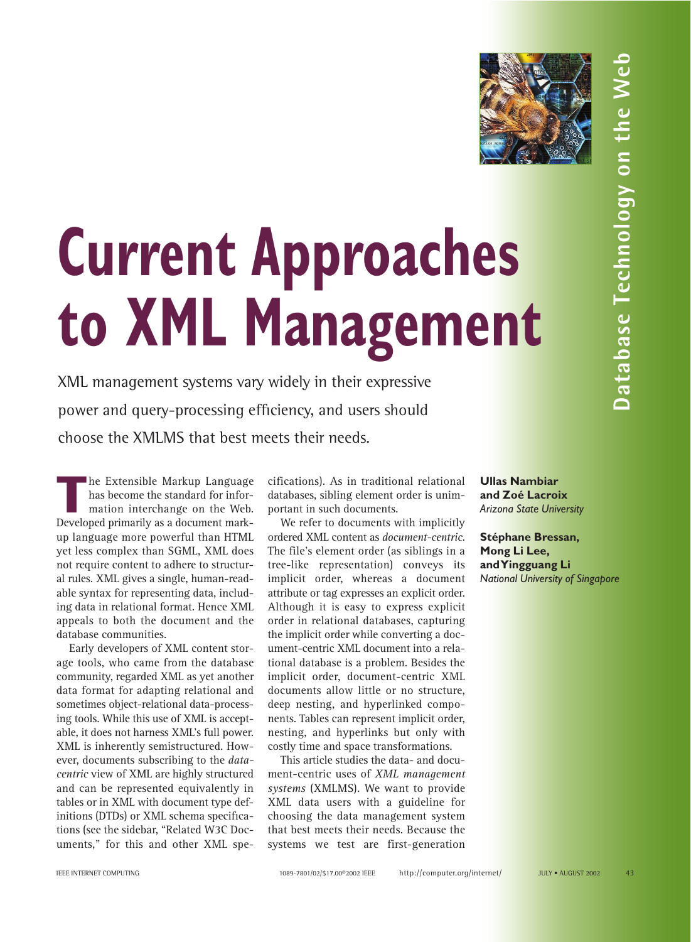

# **Current Approaches to XML Management Current and Computer Computer Computer Computer Computer Computer Computer Computer Computer Computer Computer Computer Computer Computer Computer Computer Computer Computer Computer Computer Computer Computer Computer Co**

XML management systems vary widely in their expressive power and query-processing efficiency, and users should choose the XMLMS that best meets their needs.

**The Extensible Markup Language<br>
has become the standard for infor-<br>
mation interchange on the Web.<br>
Developed primarily as a document mark**he Extensible Markup Language has become the standard for information interchange on the Web. up language more powerful than HTML yet less complex than SGML, XML does not require content to adhere to structural rules. XML gives a single, human-readable syntax for representing data, including data in relational format. Hence XML appeals to both the document and the database communities.

Early developers of XML content storage tools, who came from the database community, regarded XML as yet another data format for adapting relational and sometimes object-relational data-processing tools. While this use of XML is acceptable, it does not harness XML's full power. XML is inherently semistructured. However, documents subscribing to the *datacentric* view of XML are highly structured and can be represented equivalently in tables or in XML with document type definitions (DTDs) or XML schema specifications (see the sidebar, "Related W3C Documents," for this and other XML specifications). As in traditional relational databases, sibling element order is unimportant in such documents.

We refer to documents with implicitly ordered XML content as *document-centric*. The file's element order (as siblings in a tree-like representation) conveys its implicit order, whereas a document attribute or tag expresses an explicit order. Although it is easy to express explicit order in relational databases, capturing the implicit order while converting a document-centric XML document into a relational database is a problem. Besides the implicit order, document-centric XML documents allow little or no structure, deep nesting, and hyperlinked components. Tables can represent implicit order, nesting, and hyperlinks but only with costly time and space transformations.

This article studies the data- and document-centric uses of *XML management systems* (XMLMS). We want to provide XML data users with a guideline for choosing the data management system that best meets their needs. Because the systems we test are first-generation

**Ullas Nambiar and Zoé Lacroix** *Arizona State University* 

**Stéphane Bressan, Mong Li Lee, and Yingguang Li** *National University of Singapore*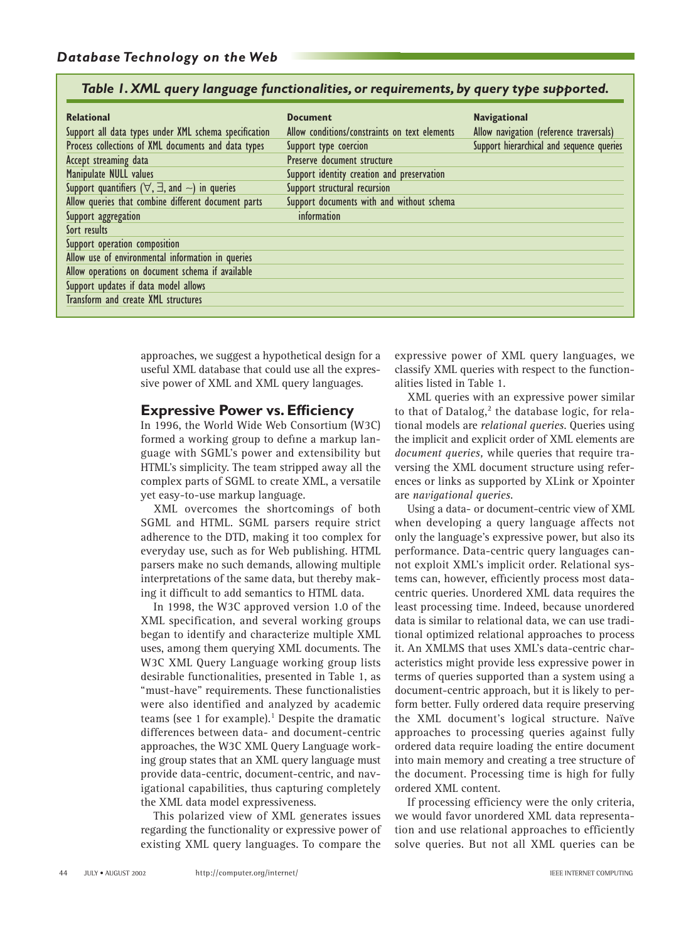|  |  |  |  | Table 1. XML query language functionalities, or requirements, by query type supported |  |  |  |  |  |  |
|--|--|--|--|---------------------------------------------------------------------------------------|--|--|--|--|--|--|
|--|--|--|--|---------------------------------------------------------------------------------------|--|--|--|--|--|--|

| <b>Relational</b><br>Support all data types under XML schema specification<br>Process collections of XML documents and data types<br>Accept streaming data<br>Manipulate NULL values<br>Support quantifiers ( $\forall$ , $\exists$ , and $\sim$ ) in queries<br>Allow queries that combine different document parts<br>Support aggregation<br>Sort results<br>Support operation composition<br>Allow use of environmental information in queries<br>Allow operations on document schema if available<br>Support updates if data model allows<br>Transform and create XML structures | <b>Document</b><br>Allow conditions/constraints on text elements<br>Support type coercion<br>Preserve document structure<br>Support identity creation and preservation<br>Support structural recursion<br>Support documents with and without schema<br>information | <b>Navigational</b><br>Allow navigation (reference traversals)<br>Support hierarchical and sequence queries |
|--------------------------------------------------------------------------------------------------------------------------------------------------------------------------------------------------------------------------------------------------------------------------------------------------------------------------------------------------------------------------------------------------------------------------------------------------------------------------------------------------------------------------------------------------------------------------------------|--------------------------------------------------------------------------------------------------------------------------------------------------------------------------------------------------------------------------------------------------------------------|-------------------------------------------------------------------------------------------------------------|
|                                                                                                                                                                                                                                                                                                                                                                                                                                                                                                                                                                                      |                                                                                                                                                                                                                                                                    |                                                                                                             |

approaches, we suggest a hypothetical design for a useful XML database that could use all the expressive power of XML and XML query languages.

# **Expressive Power vs. Efficiency**

In 1996, the World Wide Web Consortium (W3C) formed a working group to define a markup language with SGML's power and extensibility but HTML's simplicity. The team stripped away all the complex parts of SGML to create XML, a versatile yet easy-to-use markup language.

XML overcomes the shortcomings of both SGML and HTML. SGML parsers require strict adherence to the DTD, making it too complex for everyday use, such as for Web publishing. HTML parsers make no such demands, allowing multiple interpretations of the same data, but thereby making it difficult to add semantics to HTML data.

In 1998, the W3C approved version 1.0 of the XML specification, and several working groups began to identify and characterize multiple XML uses, among them querying XML documents. The W3C XML Query Language working group lists desirable functionalities, presented in Table 1, as "must-have" requirements. These functionalisties were also identified and analyzed by academic teams (see 1 for example).<sup>1</sup> Despite the dramatic differences between data- and document-centric approaches, the W3C XML Query Language working group states that an XML query language must provide data-centric, document-centric, and navigational capabilities, thus capturing completely the XML data model expressiveness.

This polarized view of XML generates issues regarding the functionality or expressive power of existing XML query languages. To compare the expressive power of XML query languages, we classify XML queries with respect to the functionalities listed in Table 1.

XML queries with an expressive power similar to that of Datalog, $2$  the database logic, for relational models are *relational queries*. Queries using the implicit and explicit order of XML elements are *document queries,* while queries that require traversing the XML document structure using references or links as supported by XLink or Xpointer are *navigational queries*.

Using a data- or document-centric view of XML when developing a query language affects not only the language's expressive power, but also its performance. Data-centric query languages cannot exploit XML's implicit order. Relational systems can, however, efficiently process most datacentric queries. Unordered XML data requires the least processing time. Indeed, because unordered data is similar to relational data, we can use traditional optimized relational approaches to process it. An XMLMS that uses XML's data-centric characteristics might provide less expressive power in terms of queries supported than a system using a document-centric approach, but it is likely to perform better. Fully ordered data require preserving the XML document's logical structure. Naïve approaches to processing queries against fully ordered data require loading the entire document into main memory and creating a tree structure of the document. Processing time is high for fully ordered XML content.

If processing efficiency were the only criteria, we would favor unordered XML data representation and use relational approaches to efficiently solve queries. But not all XML queries can be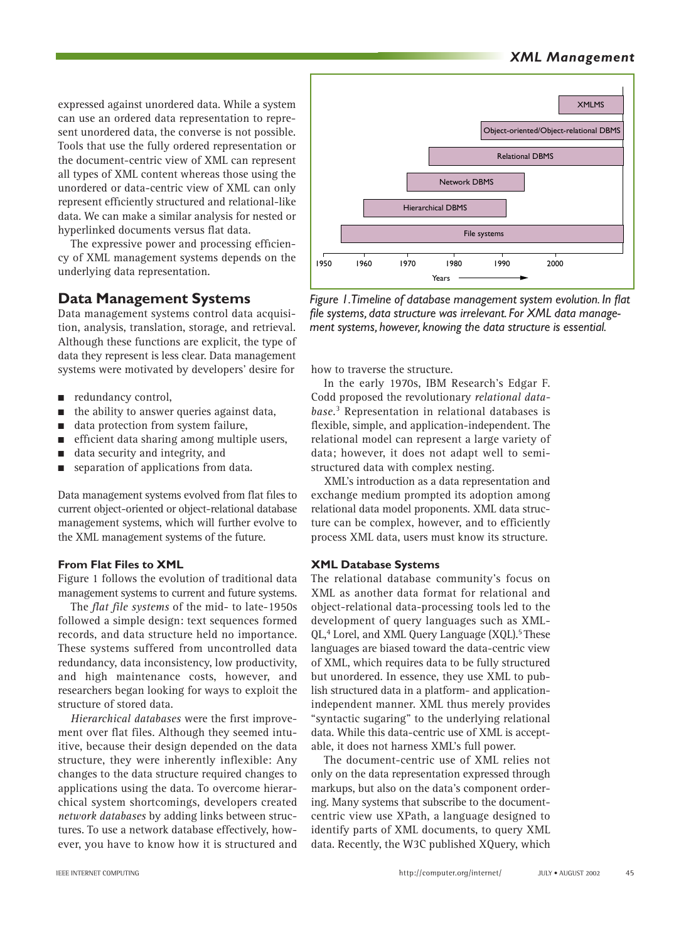expressed against unordered data. While a system can use an ordered data representation to represent unordered data, the converse is not possible. Tools that use the fully ordered representation or the document-centric view of XML can represent all types of XML content whereas those using the unordered or data-centric view of XML can only represent efficiently structured and relational-like data. We can make a similar analysis for nested or hyperlinked documents versus flat data.

The expressive power and processing efficiency of XML management systems depends on the underlying data representation.

# **Data Management Systems**

Data management systems control data acquisition, analysis, translation, storage, and retrieval. Although these functions are explicit, the type of data they represent is less clear. Data management systems were motivated by developers' desire for

- redundancy control,
- the ability to answer queries against data,
- data protection from system failure,
- efficient data sharing among multiple users,
- data security and integrity, and
- separation of applications from data.

Data management systems evolved from flat files to current object-oriented or object-relational database management systems, which will further evolve to the XML management systems of the future.

### **From Flat Files to XML**

Figure 1 follows the evolution of traditional data management systems to current and future systems.

The *flat file systems* of the mid- to late-1950s followed a simple design: text sequences formed records, and data structure held no importance. These systems suffered from uncontrolled data redundancy, data inconsistency, low productivity, and high maintenance costs, however, and researchers began looking for ways to exploit the structure of stored data.

*Hierarchical databases* were the first improvement over flat files. Although they seemed intuitive, because their design depended on the data structure, they were inherently inflexible: Any changes to the data structure required changes to applications using the data. To overcome hierarchical system shortcomings, developers created *network databases* by adding links between structures. To use a network database effectively, however, you have to know how it is structured and



*Figure 1.Timeline of database management system evolution. In flat* file systems, data structure was irrelevant. For XML data manage*ment systems,however,knowing the data structure is essential.*

how to traverse the structure.

In the early 1970s, IBM Research's Edgar F. Codd proposed the revolutionary *relational database.*<sup>3</sup> Representation in relational databases is flexible, simple, and application-independent. The relational model can represent a large variety of data; however, it does not adapt well to semistructured data with complex nesting.

XML's introduction as a data representation and exchange medium prompted its adoption among relational data model proponents. XML data structure can be complex, however, and to efficiently process XML data, users must know its structure.

### **XML Database Systems**

The relational database community's focus on XML as another data format for relational and object-relational data-processing tools led to the development of query languages such as XML- $QL$ ,<sup>4</sup> Lorel, and XML Query Language (XQL).<sup>5</sup> These languages are biased toward the data-centric view of XML, which requires data to be fully structured but unordered. In essence, they use XML to publish structured data in a platform- and applicationindependent manner. XML thus merely provides "syntactic sugaring" to the underlying relational data. While this data-centric use of XML is acceptable, it does not harness XML's full power.

The document-centric use of XML relies not only on the data representation expressed through markups, but also on the data's component ordering. Many systems that subscribe to the documentcentric view use XPath, a language designed to identify parts of XML documents, to query XML data. Recently, the W3C published XQuery, which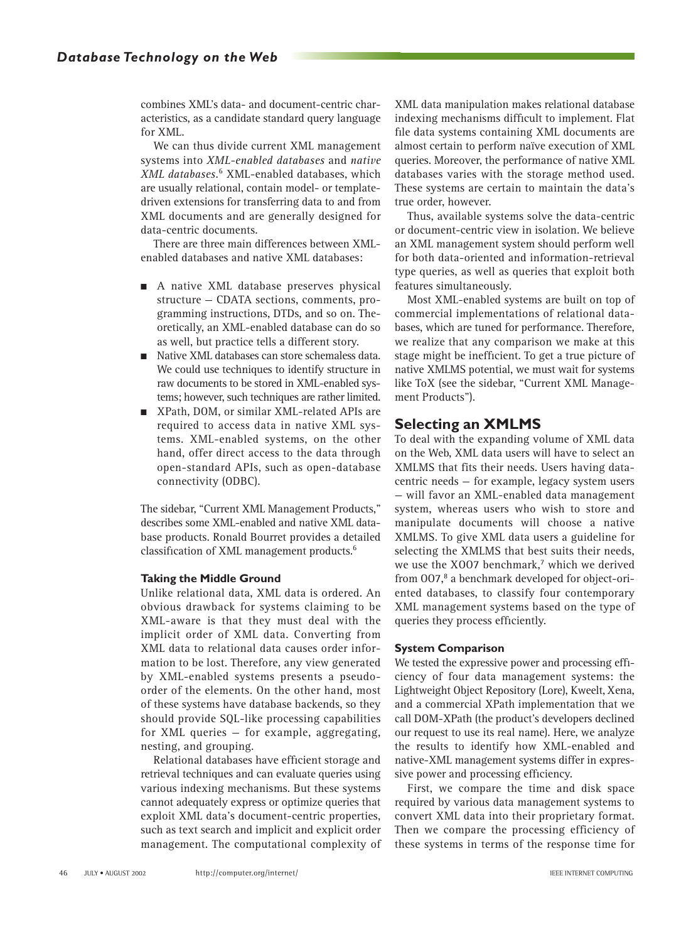combines XML's data- and document-centric characteristics, as a candidate standard query language for XML.

We can thus divide current XML management systems into *XML-enabled databases* and *native XML databases.*<sup>6</sup> XML-enabled databases, which are usually relational, contain model- or templatedriven extensions for transferring data to and from XML documents and are generally designed for data-centric documents.

There are three main differences between XMLenabled databases and native XML databases:

- A native XML database preserves physical structure — CDATA sections, comments, programming instructions, DTDs, and so on. Theoretically, an XML-enabled database can do so as well, but practice tells a different story.
- Native XML databases can store schemaless data. We could use techniques to identify structure in raw documents to be stored in XML-enabled systems; however, such techniques are rather limited.
- XPath, DOM, or similar XML-related APIs are required to access data in native XML systems. XML-enabled systems, on the other hand, offer direct access to the data through open-standard APIs, such as open-database connectivity (ODBC).

The sidebar, "Current XML Management Products," describes some XML-enabled and native XML database products. Ronald Bourret provides a detailed classification of XML management products.6

### **Taking the Middle Ground**

Unlike relational data, XML data is ordered. An obvious drawback for systems claiming to be XML-aware is that they must deal with the implicit order of XML data. Converting from XML data to relational data causes order information to be lost. Therefore, any view generated by XML-enabled systems presents a pseudoorder of the elements. On the other hand, most of these systems have database backends, so they should provide SQL-like processing capabilities for XML queries — for example, aggregating, nesting, and grouping.

Relational databases have efficient storage and retrieval techniques and can evaluate queries using various indexing mechanisms. But these systems cannot adequately express or optimize queries that exploit XML data's document-centric properties, such as text search and implicit and explicit order management. The computational complexity of

XML data manipulation makes relational database indexing mechanisms difficult to implement. Flat file data systems containing XML documents are almost certain to perform naïve execution of XML queries. Moreover, the performance of native XML databases varies with the storage method used. These systems are certain to maintain the data's true order, however.

Thus, available systems solve the data-centric or document-centric view in isolation. We believe an XML management system should perform well for both data-oriented and information-retrieval type queries, as well as queries that exploit both features simultaneously.

Most XML-enabled systems are built on top of commercial implementations of relational databases, which are tuned for performance. Therefore, we realize that any comparison we make at this stage might be inefficient. To get a true picture of native XMLMS potential, we must wait for systems like ToX (see the sidebar, "Current XML Management Products").

# **Selecting an XMLMS**

To deal with the expanding volume of XML data on the Web, XML data users will have to select an XMLMS that fits their needs. Users having datacentric needs — for example, legacy system users — will favor an XML-enabled data management system, whereas users who wish to store and manipulate documents will choose a native XMLMS. To give XML data users a guideline for selecting the XMLMS that best suits their needs, we use the X007 benchmark,<sup>7</sup> which we derived from 007,<sup>8</sup> a benchmark developed for object-oriented databases, to classify four contemporary XML management systems based on the type of queries they process efficiently.

### **System Comparison**

We tested the expressive power and processing efficiency of four data management systems: the Lightweight Object Repository (Lore), Kweelt,Xena, and a commercial XPath implementation that we call DOM-XPath (the product's developers declined our request to use its real name). Here, we analyze the results to identify how XML-enabled and native-XML management systems differ in expressive power and processing efficiency.

First, we compare the time and disk space required by various data management systems to convert XML data into their proprietary format. Then we compare the processing efficiency of these systems in terms of the response time for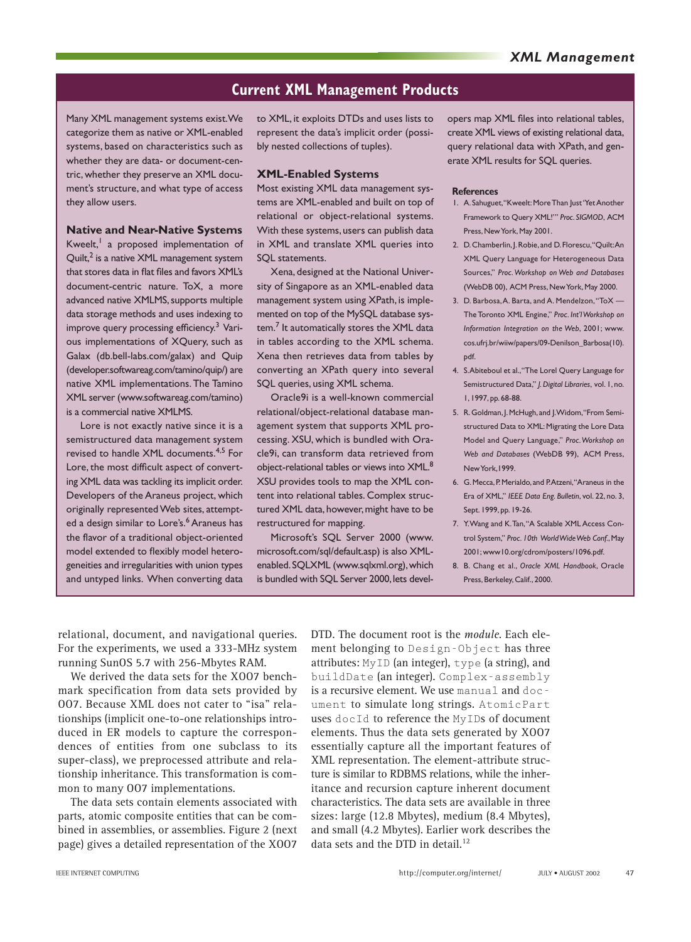# **Current XML Management Products**

Many XML management systems exist.We categorize them as native or XML-enabled systems, based on characteristics such as whether they are data- or document-centric, whether they preserve an XML document's structure, and what type of access they allow users.

### **Native and Near-Native Systems**

Kweelt,<sup>1</sup> a proposed implementation of Quilt, $^2$  is a native XML management system that stores data in flat files and favors XML's document-centric nature. ToX, a more advanced native XMLMS, supports multiple data storage methods and uses indexing to improve query processing efficiency.<sup>3</sup> Various implementations of XQuery, such as Galax (db.bell-labs.com/galax) and Quip (developer.softwareag.com/tamino/quip/) are native XML implementations.The Tamino XML server (www.softwareag.com/tamino) is a commercial native XMLMS.

Lore is not exactly native since it is a semistructured data management system revised to handle XML documents.4,5 For Lore, the most difficult aspect of converting XML data was tackling its implicit order. Developers of the Araneus project, which originally represented Web sites, attempted a design similar to Lore's.<sup>6</sup> Araneus has the flavor of a traditional object-oriented model extended to flexibly model heterogeneities and irregularities with union types and untyped links. When converting data to XML, it exploits DTDs and uses lists to represent the data's implicit order (possibly nested collections of tuples).

### **XML-Enabled Systems**

Most existing XML data management systems are XML-enabled and built on top of relational or object-relational systems. With these systems, users can publish data in XML and translate XML queries into SQL statements.

Xena, designed at the National University of Singapore as an XML-enabled data management system using XPath, is implemented on top of the MySQL database system.<sup>7</sup> It automatically stores the XML data in tables according to the XML schema. Xena then retrieves data from tables by converting an XPath query into several SQL queries, using XML schema.

Oracle9i is a well-known commercial relational/object-relational database management system that supports XML processing. XSU, which is bundled with Oracle9i, can transform data retrieved from object-relational tables or views into XML.<sup>8</sup> XSU provides tools to map the XML content into relational tables. Complex structured XML data, however, might have to be restructured for mapping.

Microsoft's SQL Server 2000 (www. microsoft.com/sql/default.asp) is also XMLenabled.SQLXML (www.sqlxml.org),which is bundled with SQL Server 2000, lets developers map XML files into relational tables, create XML views of existing relational data, query relational data with XPath, and generate XML results for SQL queries.

### **References**

- 1. A. Sahuguet, "Kweelt: More Than Just 'Yet Another Framework to Query XML!'" *Proc.SIGMOD*, ACM Press, New York, May 2001.
- 2. D.Chamberlin,J.Robie,and D.Florescu,"Quilt:An XML Query Language for Heterogeneous Data Sources," *Proc.Workshop on Web and Databases* (WebDB 00), ACM Press, New York, May 2000.
- 3. D. Barbosa,A. Barta, and A. Mendelzon,"ToX The Toronto XML Engine," *Proc. Int'l Workshop on Information Integration on the Web*, 2001; www. cos.ufrj.br/wiiw/papers/09-Denilson\_Barbosa(10). pdf.
- 4. S.Abiteboul et al.,"The Lorel Query Language for Semistructured Data," *J. Digital Libraries*, vol. 1, no. 1, 1997, pp. 68-88.
- 5. R.Goldman,J.McHugh,and J.Widom,"From Semistructured Data to XML: Migrating the Lore Data Model and Query Language," *Proc.Workshop on Web and Databases* (WebDB 99), ACM Press, New York,1999.
- 6. G.Mecca,P.Merialdo,and P.Atzeni,"Araneus in the Era of XML," *IEEE Data Eng. Bulletin*, vol. 22, no. 3, Sept. 1999, pp. 19-26.
- 7. Y.Wang and K.Tan,"A Scalable XML Access Control System," *Proc.10th World Wide Web Conf.*,May 2001; www10.org/cdrom/posters/1096.pdf.
- 8. B. Chang et al., *Oracle XML Handbook*, Oracle Press, Berkeley, Calif., 2000.

relational, document, and navigational queries. For the experiments, we used a 333-MHz system running SunOS 5.7 with 256-Mbytes RAM.

We derived the data sets for the XOO7 benchmark specification from data sets provided by OO7. Because XML does not cater to "isa" relationships (implicit one-to-one relationships introduced in ER models to capture the correspondences of entities from one subclass to its super-class), we preprocessed attribute and relationship inheritance. This transformation is common to many OO7 implementations.

The data sets contain elements associated with parts*,* atomic composite entities that can be combined in assemblies, or assemblies. Figure 2 (next page) gives a detailed representation of the XOO7

DTD. The document root is the *module*. Each element belonging to Design-Object has three attributes: MyID (an integer), type (a string), and buildDate (an integer). Complex-assembly is a recursive element. We use manual and document to simulate long strings. AtomicPart uses docId to reference the MyIDs of document elements. Thus the data sets generated by XOO7 essentially capture all the important features of XML representation. The element-attribute structure is similar to RDBMS relations, while the inheritance and recursion capture inherent document characteristics. The data sets are available in three sizes: large (12.8 Mbytes), medium (8.4 Mbytes), and small (4.2 Mbytes). Earlier work describes the data sets and the DTD in detail.<sup>12</sup>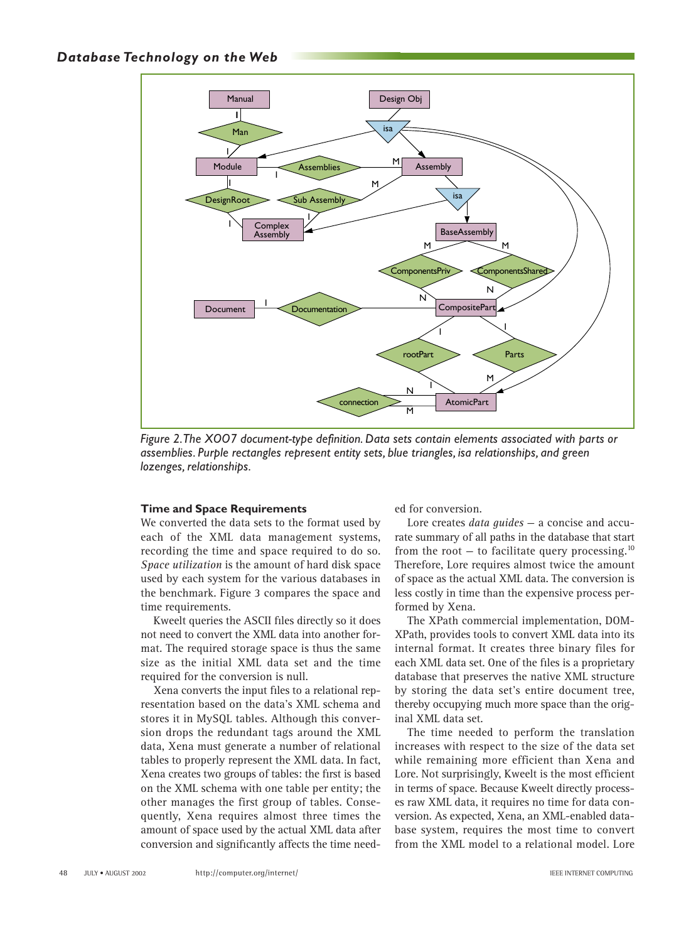

*Figure 2.The XOO7 document-type definition. Data sets contain elements associated with parts or assemblies. Purple rectangles represent entity sets,blue triangles,isa relationships,and green lozenges,relationships.*

### **Time and Space Requirements**

We converted the data sets to the format used by each of the XML data management systems, recording the time and space required to do so. *Space utilization* is the amount of hard disk space used by each system for the various databases in the benchmark. Figure 3 compares the space and time requirements.

Kweelt queries the ASCII files directly so it does not need to convert the XML data into another format. The required storage space is thus the same size as the initial XML data set and the time required for the conversion is null.

Xena converts the input files to a relational representation based on the data's XML schema and stores it in MySQL tables. Although this conversion drops the redundant tags around the XML data, Xena must generate a number of relational tables to properly represent the XML data. In fact, Xena creates two groups of tables: the first is based on the XML schema with one table per entity; the other manages the first group of tables. Consequently, Xena requires almost three times the amount of space used by the actual XML data after conversion and significantly affects the time needed for conversion.

Lore creates *data guides* — a concise and accurate summary of all paths in the database that start from the root  $-$  to facilitate query processing.<sup>10</sup> Therefore, Lore requires almost twice the amount of space as the actual XML data. The conversion is less costly in time than the expensive process performed by Xena.

The XPath commercial implementation, DOM-XPath, provides tools to convert XML data into its internal format. It creates three binary files for each XML data set. One of the files is a proprietary database that preserves the native XML structure by storing the data set's entire document tree, thereby occupying much more space than the original XML data set.

The time needed to perform the translation increases with respect to the size of the data set while remaining more efficient than Xena and Lore. Not surprisingly, Kweelt is the most efficient in terms of space. Because Kweelt directly processes raw XML data, it requires no time for data conversion. As expected, Xena, an XML-enabled database system, requires the most time to convert from the XML model to a relational model. Lore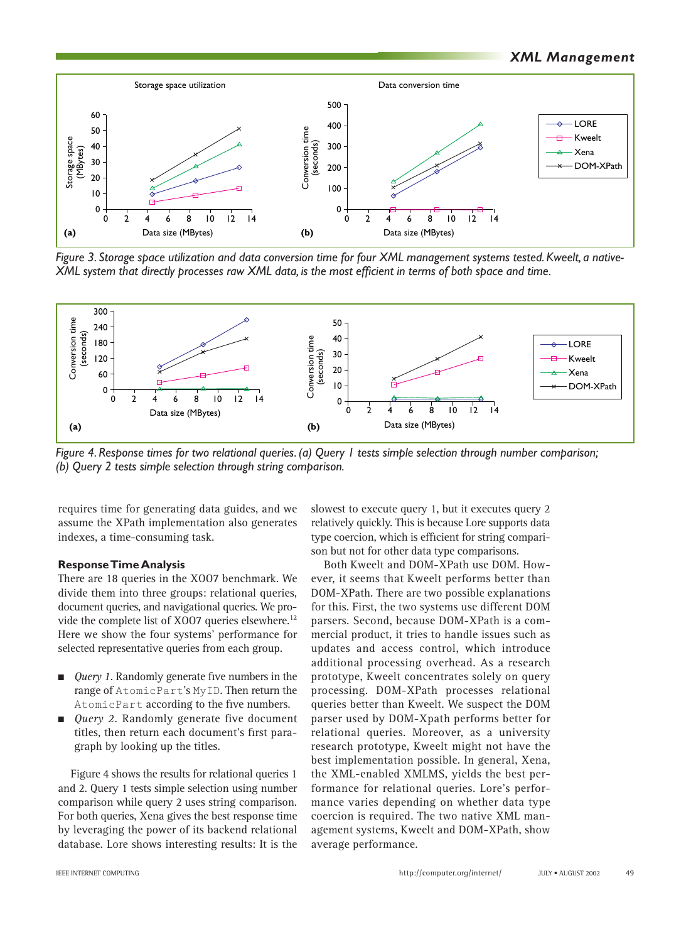# *XML Management*



*Figure 3. Storage space utilization and data conversion time for four XML management systems tested. Kweelt,a native-XML system that directly processes raw XML data,is the most efficient in terms of both space and time.*



*Figure 4. Response times for two relational queries. (a) Query 1 tests simple selection through number comparison; (b) Query 2 tests simple selection through string comparison.*

requires time for generating data guides, and we assume the XPath implementation also generates indexes, a time-consuming task.

### **Response Time Analysis**

There are 18 queries in the XOO7 benchmark. We divide them into three groups: relational queries, document queries, and navigational queries. We provide the complete list of X007 queries elsewhere.<sup>12</sup> Here we show the four systems' performance for selected representative queries from each group.

- *Query 1*. Randomly generate five numbers in the range of AtomicPart's MyID. Then return the AtomicPart according to the five numbers.
- *Query 2.* Randomly generate five document titles, then return each document's first paragraph by looking up the titles.

Figure 4 shows the results for relational queries 1 and 2. Query 1 tests simple selection using number comparison while query 2 uses string comparison. For both queries, Xena gives the best response time by leveraging the power of its backend relational database. Lore shows interesting results: It is the slowest to execute query 1, but it executes query 2 relatively quickly. This is because Lore supports data type coercion, which is efficient for string comparison but not for other data type comparisons.

Both Kweelt and DOM-XPath use DOM. However, it seems that Kweelt performs better than DOM-XPath. There are two possible explanations for this. First, the two systems use different DOM parsers. Second, because DOM-XPath is a commercial product, it tries to handle issues such as updates and access control, which introduce additional processing overhead. As a research prototype, Kweelt concentrates solely on query processing. DOM-XPath processes relational queries better than Kweelt. We suspect the DOM parser used by DOM-Xpath performs better for relational queries. Moreover, as a university research prototype, Kweelt might not have the best implementation possible. In general, Xena, the XML-enabled XMLMS, yields the best performance for relational queries. Lore's performance varies depending on whether data type coercion is required. The two native XML management systems, Kweelt and DOM-XPath, show average performance.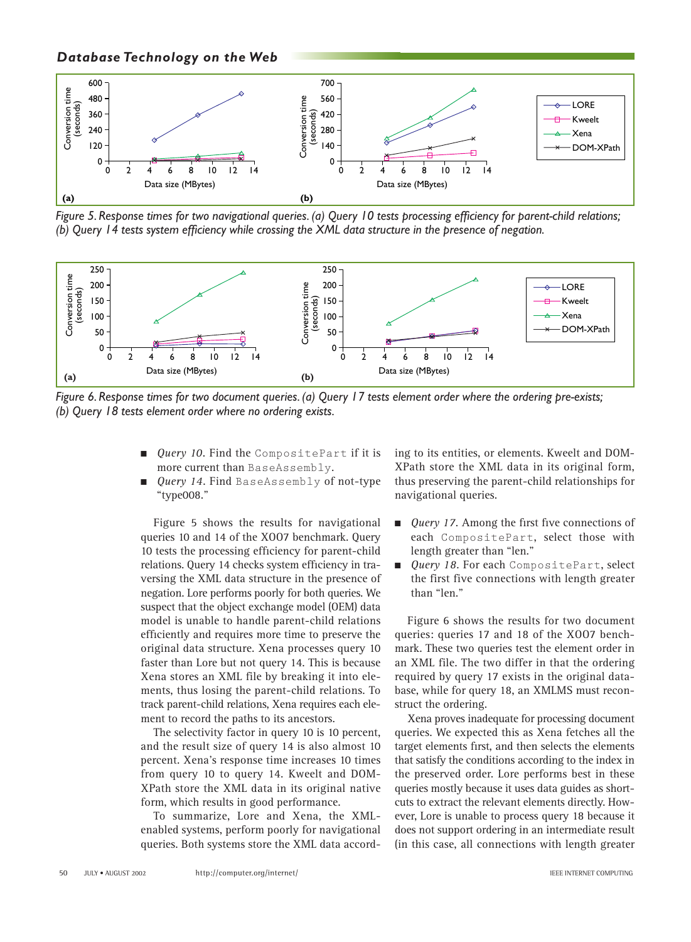# *Database Technology on the Web*



*Figure 5. Response times for two navigational queries. (a) Query 10 tests processing efficiency for parent-child relations; (b) Query 14 tests system efficiency while crossing the XML data structure in the presence of negation.*



*Figure 6. Response times for two document queries. (a) Query 17 tests element order where the ordering pre-exists; (b) Query 18 tests element order where no ordering exists.*

- *Query 10*. Find the CompositePart if it is more current than BaseAssembly.
- *Query 14.* Find BaseAssembly of not-type "type008."

Figure 5 shows the results for navigational queries 10 and 14 of the XOO7 benchmark. Query 10 tests the processing efficiency for parent-child relations. Query 14 checks system efficiency in traversing the XML data structure in the presence of negation. Lore performs poorly for both queries. We suspect that the object exchange model (OEM) data model is unable to handle parent-child relations efficiently and requires more time to preserve the original data structure. Xena processes query 10 faster than Lore but not query 14. This is because Xena stores an XML file by breaking it into elements, thus losing the parent-child relations. To track parent-child relations, Xena requires each element to record the paths to its ancestors.

The selectivity factor in query 10 is 10 percent, and the result size of query 14 is also almost 10 percent. Xena's response time increases 10 times from query 10 to query 14. Kweelt and DOM-XPath store the XML data in its original native form, which results in good performance.

To summarize, Lore and Xena, the XMLenabled systems, perform poorly for navigational queries. Both systems store the XML data according to its entities, or elements. Kweelt and DOM-XPath store the XML data in its original form, thus preserving the parent-child relationships for navigational queries.

- *Query 17.* Among the first five connections of each CompositePart, select those with length greater than "len."
- *Query 18.* For each CompositePart, select the first five connections with length greater than "len."

Figure 6 shows the results for two document queries: queries 17 and 18 of the XOO7 benchmark. These two queries test the element order in an XML file. The two differ in that the ordering required by query 17 exists in the original database, while for query 18, an XMLMS must reconstruct the ordering.

Xena proves inadequate for processing document queries. We expected this as Xena fetches all the target elements first, and then selects the elements that satisfy the conditions according to the index in the preserved order. Lore performs best in these queries mostly because it uses data guides as shortcuts to extract the relevant elements directly. However, Lore is unable to process query 18 because it does not support ordering in an intermediate result (in this case, all connections with length greater